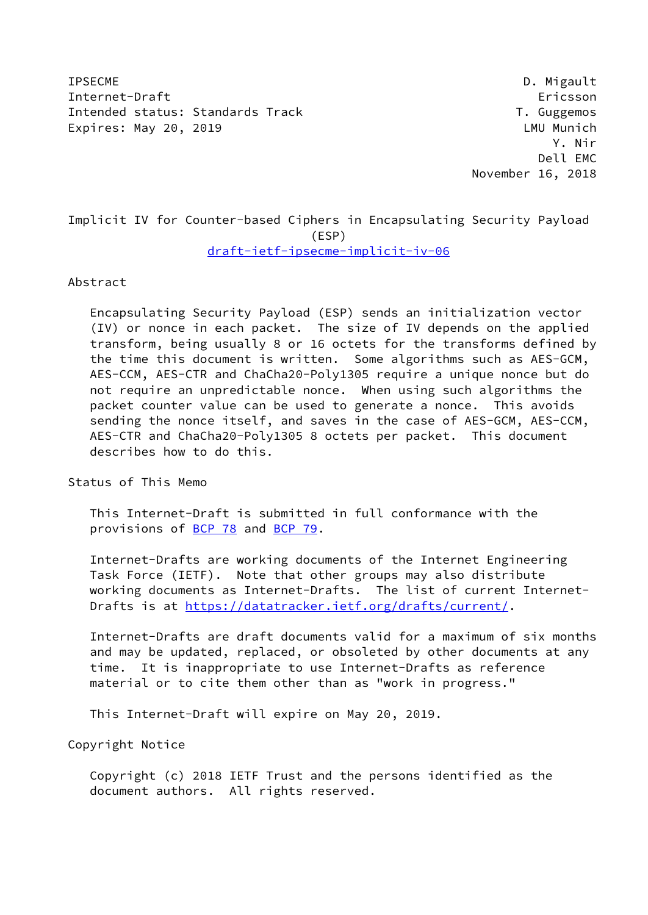IPSECME D. Migault Internet-Draft Ericsson Intended status: Standards Track T. Guggemos Expires: May 20, 2019 **LAU** Munich

 Y. Nir Dell EMC November 16, 2018

# Implicit IV for Counter-based Ciphers in Encapsulating Security Payload (ESP) [draft-ietf-ipsecme-implicit-iv-06](https://datatracker.ietf.org/doc/pdf/draft-ietf-ipsecme-implicit-iv-06)

#### Abstract

 Encapsulating Security Payload (ESP) sends an initialization vector (IV) or nonce in each packet. The size of IV depends on the applied transform, being usually 8 or 16 octets for the transforms defined by the time this document is written. Some algorithms such as AES-GCM, AES-CCM, AES-CTR and ChaCha20-Poly1305 require a unique nonce but do not require an unpredictable nonce. When using such algorithms the packet counter value can be used to generate a nonce. This avoids sending the nonce itself, and saves in the case of AES-GCM, AES-CCM, AES-CTR and ChaCha20-Poly1305 8 octets per packet. This document describes how to do this.

Status of This Memo

 This Internet-Draft is submitted in full conformance with the provisions of [BCP 78](https://datatracker.ietf.org/doc/pdf/bcp78) and [BCP 79](https://datatracker.ietf.org/doc/pdf/bcp79).

 Internet-Drafts are working documents of the Internet Engineering Task Force (IETF). Note that other groups may also distribute working documents as Internet-Drafts. The list of current Internet- Drafts is at<https://datatracker.ietf.org/drafts/current/>.

 Internet-Drafts are draft documents valid for a maximum of six months and may be updated, replaced, or obsoleted by other documents at any time. It is inappropriate to use Internet-Drafts as reference material or to cite them other than as "work in progress."

This Internet-Draft will expire on May 20, 2019.

Copyright Notice

 Copyright (c) 2018 IETF Trust and the persons identified as the document authors. All rights reserved.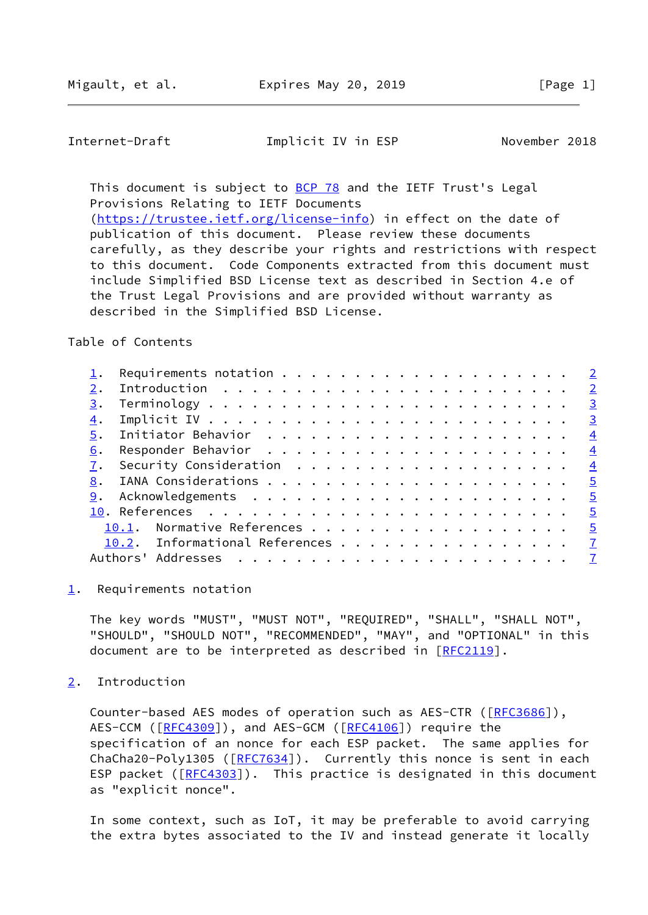<span id="page-1-1"></span>Internet-Draft **Implicit IV** in ESP November 2018

This document is subject to [BCP 78](https://datatracker.ietf.org/doc/pdf/bcp78) and the IETF Trust's Legal Provisions Relating to IETF Documents [\(https://trustee.ietf.org/license-info](https://trustee.ietf.org/license-info)) in effect on the date of publication of this document. Please review these documents

 carefully, as they describe your rights and restrictions with respect to this document. Code Components extracted from this document must include Simplified BSD License text as described in Section 4.e of the Trust Legal Provisions and are provided without warranty as described in the Simplified BSD License.

### Table of Contents

|    |                                | $\overline{2}$ |
|----|--------------------------------|----------------|
|    |                                |                |
| 3. |                                | $\frac{3}{2}$  |
| 4. |                                | $\overline{3}$ |
| 5. |                                | $\overline{4}$ |
| 6. |                                | $\overline{4}$ |
|    |                                | $\frac{4}{3}$  |
| 8. |                                | $\overline{5}$ |
| 9. |                                | $\frac{5}{2}$  |
|    |                                | $\overline{5}$ |
|    | 10.1. Normative References 5   |                |
|    | 10.2. Informational References | $\overline{1}$ |
|    |                                |                |
|    |                                |                |

<span id="page-1-0"></span>[1](#page-1-0). Requirements notation

 The key words "MUST", "MUST NOT", "REQUIRED", "SHALL", "SHALL NOT", "SHOULD", "SHOULD NOT", "RECOMMENDED", "MAY", and "OPTIONAL" in this document are to be interpreted as described in [\[RFC2119](https://datatracker.ietf.org/doc/pdf/rfc2119)].

<span id="page-1-2"></span>[2](#page-1-2). Introduction

Counter-based AES modes of operation such as AES-CTR ([[RFC3686](https://datatracker.ietf.org/doc/pdf/rfc3686)]), AES-CCM ([\[RFC4309](https://datatracker.ietf.org/doc/pdf/rfc4309)]), and AES-GCM ([[RFC4106](https://datatracker.ietf.org/doc/pdf/rfc4106)]) require the specification of an nonce for each ESP packet. The same applies for ChaCha20-Poly1305 ([[RFC7634\]](https://datatracker.ietf.org/doc/pdf/rfc7634)). Currently this nonce is sent in each ESP packet  $( [RFC4303] )$  $( [RFC4303] )$  $( [RFC4303] )$ . This practice is designated in this document as "explicit nonce".

 In some context, such as IoT, it may be preferable to avoid carrying the extra bytes associated to the IV and instead generate it locally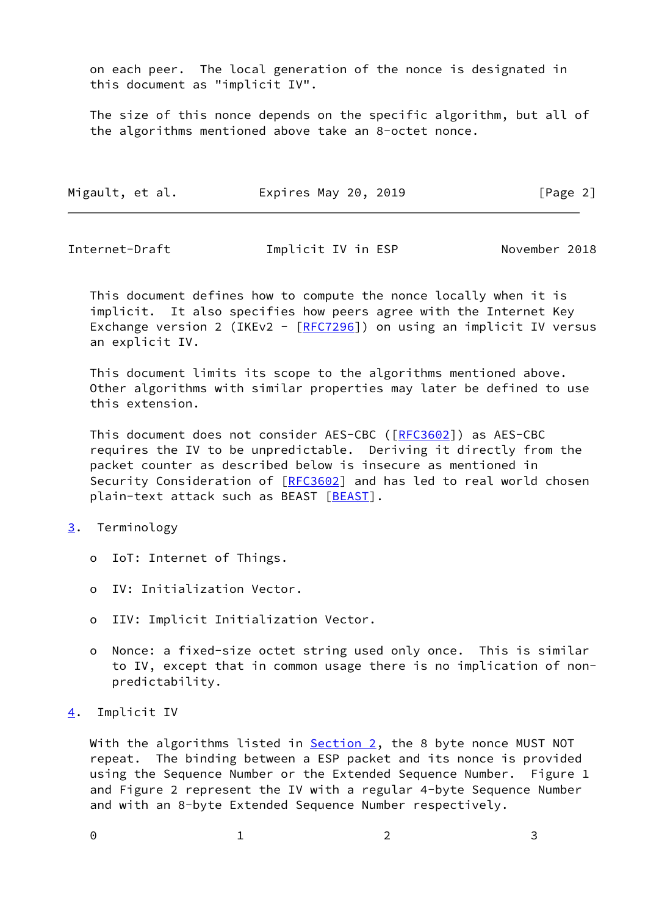on each peer. The local generation of the nonce is designated in this document as "implicit IV".

 The size of this nonce depends on the specific algorithm, but all of the algorithms mentioned above take an 8-octet nonce.

| Migault, et al. | Expires May 20, 2019 | [Page 2] |
|-----------------|----------------------|----------|
|-----------------|----------------------|----------|

<span id="page-2-1"></span>Internet-Draft **Implicit IV** in ESP November 2018

 This document defines how to compute the nonce locally when it is implicit. It also specifies how peers agree with the Internet Key Exchange version 2 (IKEv2 -  $[REC7296]$ ) on using an implicit IV versus an explicit IV.

 This document limits its scope to the algorithms mentioned above. Other algorithms with similar properties may later be defined to use this extension.

 This document does not consider AES-CBC ([\[RFC3602](https://datatracker.ietf.org/doc/pdf/rfc3602)]) as AES-CBC requires the IV to be unpredictable. Deriving it directly from the packet counter as described below is insecure as mentioned in Security Consideration of [[RFC3602](https://datatracker.ietf.org/doc/pdf/rfc3602)] and has led to real world chosen plain-text attack such as BEAST [\[BEAST](#page-7-0)].

## <span id="page-2-0"></span>[3](#page-2-0). Terminology

- o IoT: Internet of Things.
- o IV: Initialization Vector.
- o IIV: Implicit Initialization Vector.
- o Nonce: a fixed-size octet string used only once. This is similar to IV, except that in common usage there is no implication of non predictability.
- <span id="page-2-2"></span>[4](#page-2-2). Implicit IV

With the algorithms listed in **Section 2**, the 8 byte nonce MUST NOT repeat. The binding between a ESP packet and its nonce is provided using the Sequence Number or the Extended Sequence Number. Figure 1 and Figure 2 represent the IV with a regular 4-byte Sequence Number and with an 8-byte Extended Sequence Number respectively.

0 1 2 3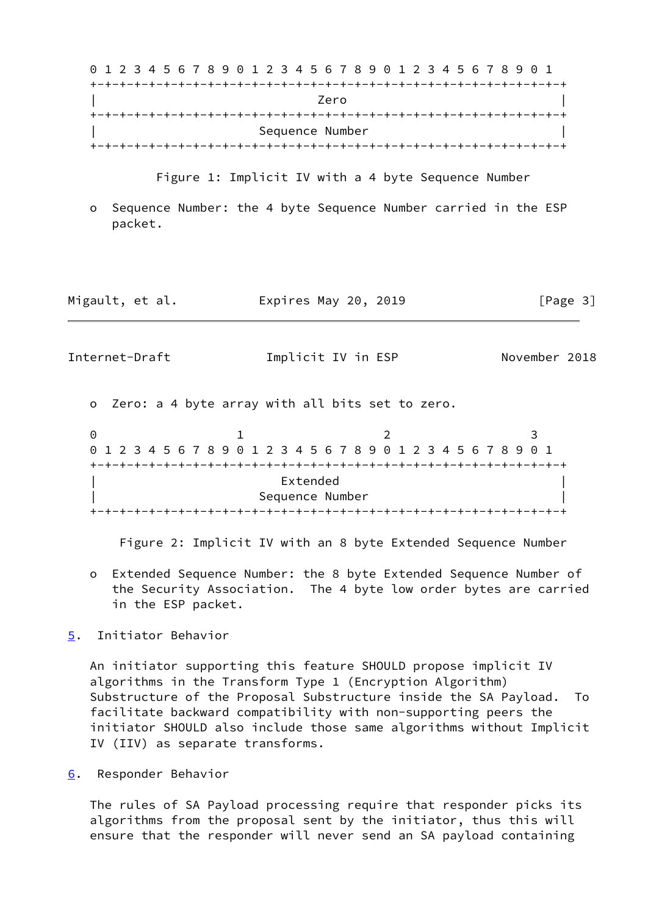0 1 2 3 4 5 6 7 8 9 0 1 2 3 4 5 6 7 8 9 0 1 2 3 4 5 6 7 8 9 0 1 +-+-+-+-+-+-+-+-+-+-+-+-+-+-+-+-+-+-+-+-+-+-+-+-+-+-+-+-+-+-+-+-+ | Zero | +-+-+-+-+-+-+-+-+-+-+-+-+-+-+-+-+-+-+-+-+-+-+-+-+-+-+-+-+-+-+-+-+ Sequence Number +-+-+-+-+-+-+-+-+-+-+-+-+-+-+-+-+-+-+-+-+-+-+-+-+-+-+-+-+-+-+-+-+

Figure 1: Implicit IV with a 4 byte Sequence Number

 o Sequence Number: the 4 byte Sequence Number carried in the ESP packet.

| Migault, et al. | Expires May 20, 2019 | [Page 3] |
|-----------------|----------------------|----------|
|-----------------|----------------------|----------|

<span id="page-3-1"></span>Internet-Draft **Implicit IV** in ESP November 2018

o Zero: a 4 byte array with all bits set to zero.

0 1 2 3 0 1 2 3 4 5 6 7 8 9 0 1 2 3 4 5 6 7 8 9 0 1 2 3 4 5 6 7 8 9 0 1 +-+-+-+-+-+-+-+-+-+-+-+-+-+-+-+-+-+-+-+-+-+-+-+-+-+-+-+-+-+-+-+-+ | Extended | Sequence Number +-+-+-+-+-+-+-+-+-+-+-+-+-+-+-+-+-+-+-+-+-+-+-+-+-+-+-+-+-+-+-+-+

Figure 2: Implicit IV with an 8 byte Extended Sequence Number

 o Extended Sequence Number: the 8 byte Extended Sequence Number of the Security Association. The 4 byte low order bytes are carried in the ESP packet.

# <span id="page-3-0"></span>[5](#page-3-0). Initiator Behavior

 An initiator supporting this feature SHOULD propose implicit IV algorithms in the Transform Type 1 (Encryption Algorithm) Substructure of the Proposal Substructure inside the SA Payload. To facilitate backward compatibility with non-supporting peers the initiator SHOULD also include those same algorithms without Implicit IV (IIV) as separate transforms.

<span id="page-3-2"></span>[6](#page-3-2). Responder Behavior

 The rules of SA Payload processing require that responder picks its algorithms from the proposal sent by the initiator, thus this will ensure that the responder will never send an SA payload containing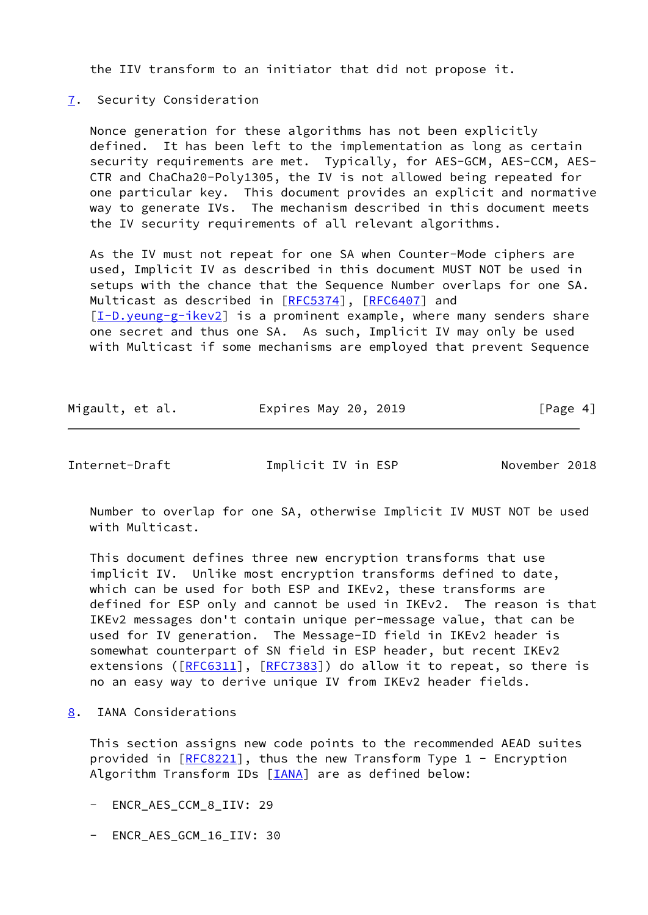the IIV transform to an initiator that did not propose it.

## <span id="page-4-0"></span>[7](#page-4-0). Security Consideration

 Nonce generation for these algorithms has not been explicitly defined. It has been left to the implementation as long as certain security requirements are met. Typically, for AES-GCM, AES-CCM, AES- CTR and ChaCha20-Poly1305, the IV is not allowed being repeated for one particular key. This document provides an explicit and normative way to generate IVs. The mechanism described in this document meets the IV security requirements of all relevant algorithms.

 As the IV must not repeat for one SA when Counter-Mode ciphers are used, Implicit IV as described in this document MUST NOT be used in setups with the chance that the Sequence Number overlaps for one SA. Multicast as described in [[RFC5374](https://datatracker.ietf.org/doc/pdf/rfc5374)], [\[RFC6407](https://datatracker.ietf.org/doc/pdf/rfc6407)] and [\[I-D.yeung-g-ikev2](#page-7-1)] is a prominent example, where many senders share one secret and thus one SA. As such, Implicit IV may only be used with Multicast if some mechanisms are employed that prevent Sequence

| Migault, et al. | Expires May 20, 2019 | [Page 4] |
|-----------------|----------------------|----------|
|-----------------|----------------------|----------|

<span id="page-4-2"></span>Internet-Draft Implicit IV in ESP November 2018

 Number to overlap for one SA, otherwise Implicit IV MUST NOT be used with Multicast.

 This document defines three new encryption transforms that use implicit IV. Unlike most encryption transforms defined to date, which can be used for both ESP and IKEv2, these transforms are defined for ESP only and cannot be used in IKEv2. The reason is that IKEv2 messages don't contain unique per-message value, that can be used for IV generation. The Message-ID field in IKEv2 header is somewhat counterpart of SN field in ESP header, but recent IKEv2 extensions ( $[REG311]$ ,  $[REC7383]$ ) do allow it to repeat, so there is no an easy way to derive unique IV from IKEv2 header fields.

# <span id="page-4-1"></span>[8](#page-4-1). IANA Considerations

 This section assigns new code points to the recommended AEAD suites provided in [\[RFC8221](https://datatracker.ietf.org/doc/pdf/rfc8221)], thus the new Transform Type 1 - Encryption Algorithm Transform IDs [\[IANA](#page-7-2)] are as defined below:

- ENCR AES CCM 8 IIV: 29
- ENCR\_AES\_GCM\_16\_IIV: 30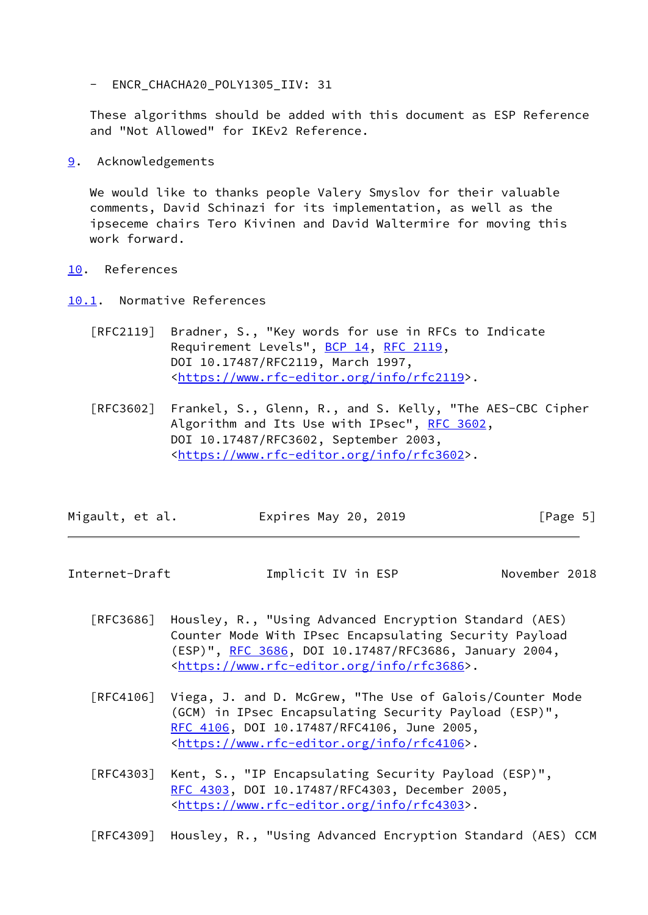- ENCR\_CHACHA20\_POLY1305\_IIV: 31

 These algorithms should be added with this document as ESP Reference and "Not Allowed" for IKEv2 Reference.

<span id="page-5-0"></span>[9](#page-5-0). Acknowledgements

 We would like to thanks people Valery Smyslov for their valuable comments, David Schinazi for its implementation, as well as the ipseceme chairs Tero Kivinen and David Waltermire for moving this work forward.

- <span id="page-5-1"></span>[10.](#page-5-1) References
- <span id="page-5-2"></span>[10.1](#page-5-2). Normative References
	- [RFC2119] Bradner, S., "Key words for use in RFCs to Indicate Requirement Levels", [BCP 14](https://datatracker.ietf.org/doc/pdf/bcp14), [RFC 2119](https://datatracker.ietf.org/doc/pdf/rfc2119), DOI 10.17487/RFC2119, March 1997, <[https://www.rfc-editor.org/info/rfc2119>](https://www.rfc-editor.org/info/rfc2119).
	- [RFC3602] Frankel, S., Glenn, R., and S. Kelly, "The AES-CBC Cipher Algorithm and Its Use with IPsec", [RFC 3602](https://datatracker.ietf.org/doc/pdf/rfc3602), DOI 10.17487/RFC3602, September 2003, <[https://www.rfc-editor.org/info/rfc3602>](https://www.rfc-editor.org/info/rfc3602).

| Migault, et al. | Expires May 20, 2019 | [Page 5] |
|-----------------|----------------------|----------|
|-----------------|----------------------|----------|

Internet-Draft **Implicit IV** in ESP November 2018

- [RFC3686] Housley, R., "Using Advanced Encryption Standard (AES) Counter Mode With IPsec Encapsulating Security Payload (ESP)", [RFC 3686,](https://datatracker.ietf.org/doc/pdf/rfc3686) DOI 10.17487/RFC3686, January 2004, <[https://www.rfc-editor.org/info/rfc3686>](https://www.rfc-editor.org/info/rfc3686).
- [RFC4106] Viega, J. and D. McGrew, "The Use of Galois/Counter Mode (GCM) in IPsec Encapsulating Security Payload (ESP)", [RFC 4106,](https://datatracker.ietf.org/doc/pdf/rfc4106) DOI 10.17487/RFC4106, June 2005, <[https://www.rfc-editor.org/info/rfc4106>](https://www.rfc-editor.org/info/rfc4106).
- [RFC4303] Kent, S., "IP Encapsulating Security Payload (ESP)", [RFC 4303,](https://datatracker.ietf.org/doc/pdf/rfc4303) DOI 10.17487/RFC4303, December 2005, <[https://www.rfc-editor.org/info/rfc4303>](https://www.rfc-editor.org/info/rfc4303).

[RFC4309] Housley, R., "Using Advanced Encryption Standard (AES) CCM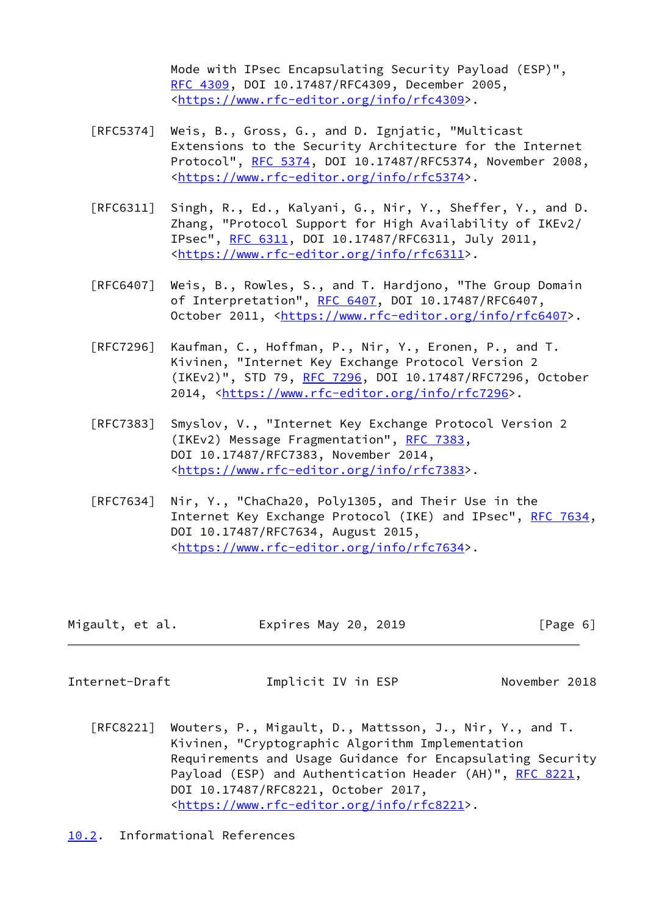Mode with IPsec Encapsulating Security Payload (ESP)", [RFC 4309,](https://datatracker.ietf.org/doc/pdf/rfc4309) DOI 10.17487/RFC4309, December 2005, <[https://www.rfc-editor.org/info/rfc4309>](https://www.rfc-editor.org/info/rfc4309).

- [RFC5374] Weis, B., Gross, G., and D. Ignjatic, "Multicast Extensions to the Security Architecture for the Internet Protocol", [RFC 5374](https://datatracker.ietf.org/doc/pdf/rfc5374), DOI 10.17487/RFC5374, November 2008, <[https://www.rfc-editor.org/info/rfc5374>](https://www.rfc-editor.org/info/rfc5374).
- [RFC6311] Singh, R., Ed., Kalyani, G., Nir, Y., Sheffer, Y., and D. Zhang, "Protocol Support for High Availability of IKEv2/ IPsec", [RFC 6311,](https://datatracker.ietf.org/doc/pdf/rfc6311) DOI 10.17487/RFC6311, July 2011, <[https://www.rfc-editor.org/info/rfc6311>](https://www.rfc-editor.org/info/rfc6311).
- [RFC6407] Weis, B., Rowles, S., and T. Hardjono, "The Group Domain of Interpretation", [RFC 6407,](https://datatracker.ietf.org/doc/pdf/rfc6407) DOI 10.17487/RFC6407, October 2011, [<https://www.rfc-editor.org/info/rfc6407](https://www.rfc-editor.org/info/rfc6407)>.
- [RFC7296] Kaufman, C., Hoffman, P., Nir, Y., Eronen, P., and T. Kivinen, "Internet Key Exchange Protocol Version 2 (IKEv2)", STD 79, [RFC 7296](https://datatracker.ietf.org/doc/pdf/rfc7296), DOI 10.17487/RFC7296, October 2014, [<https://www.rfc-editor.org/info/rfc7296](https://www.rfc-editor.org/info/rfc7296)>.
- [RFC7383] Smyslov, V., "Internet Key Exchange Protocol Version 2 (IKEv2) Message Fragmentation", [RFC 7383,](https://datatracker.ietf.org/doc/pdf/rfc7383) DOI 10.17487/RFC7383, November 2014, <[https://www.rfc-editor.org/info/rfc7383>](https://www.rfc-editor.org/info/rfc7383).
- [RFC7634] Nir, Y., "ChaCha20, Poly1305, and Their Use in the Internet Key Exchange Protocol (IKE) and IPsec", [RFC 7634,](https://datatracker.ietf.org/doc/pdf/rfc7634) DOI 10.17487/RFC7634, August 2015, <[https://www.rfc-editor.org/info/rfc7634>](https://www.rfc-editor.org/info/rfc7634).

| Migault, et al. | Expires May 20, 2019 | [Page 6] |
|-----------------|----------------------|----------|
|-----------------|----------------------|----------|

<span id="page-6-1"></span>

Internet-Draft **Implicit IV** in ESP November 2018

- [RFC8221] Wouters, P., Migault, D., Mattsson, J., Nir, Y., and T. Kivinen, "Cryptographic Algorithm Implementation Requirements and Usage Guidance for Encapsulating Security Payload (ESP) and Authentication Header (AH)", [RFC 8221](https://datatracker.ietf.org/doc/pdf/rfc8221), DOI 10.17487/RFC8221, October 2017, <[https://www.rfc-editor.org/info/rfc8221>](https://www.rfc-editor.org/info/rfc8221).
- <span id="page-6-0"></span>[10.2](#page-6-0). Informational References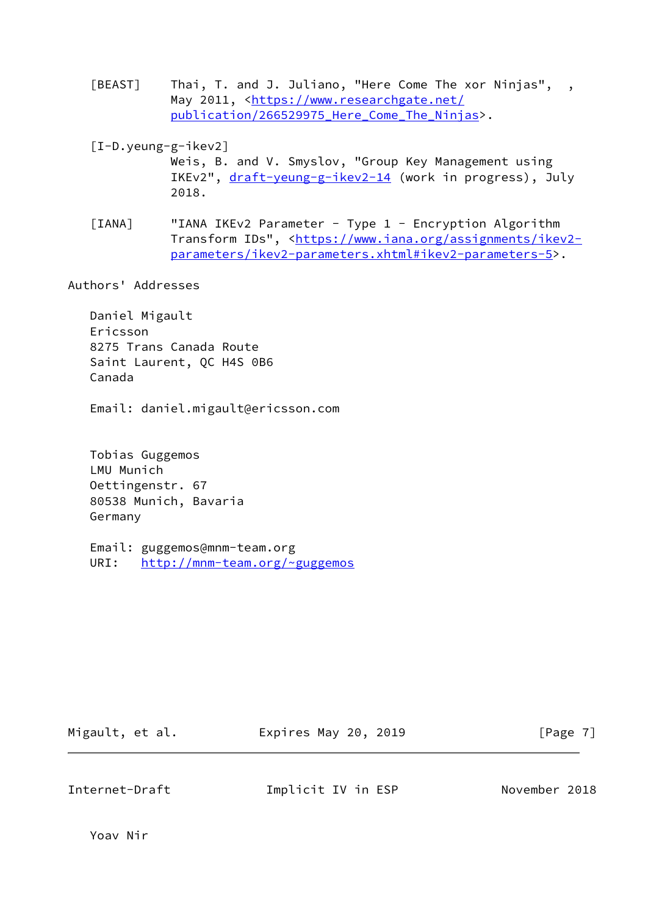- <span id="page-7-0"></span>[BEAST] Thai, T. and J. Juliano, "Here Come The xor Ninjas", , May 2011, [<https://www.researchgate.net/](https://www.researchgate.net/publication/266529975_Here_Come_The_Ninjas) publication/266529975 Here\_Come\_The\_Ninjas>.
- <span id="page-7-1"></span> [I-D.yeung-g-ikev2] Weis, B. and V. Smyslov, "Group Key Management using IKEv2", [draft-yeung-g-ikev2-14](https://datatracker.ietf.org/doc/pdf/draft-yeung-g-ikev2-14) (work in progress), July 2018.
- <span id="page-7-2"></span>[IANA] "IANA IKEv2 Parameter - Type 1 - Encryption Algorithm Transform IDs", <[https://www.iana.org/assignments/ikev2](https://www.iana.org/assignments/ikev2-parameters/ikev2-parameters.xhtml#ikev2-parameters-5) [parameters/ikev2-parameters.xhtml#ikev2-parameters-5>](https://www.iana.org/assignments/ikev2-parameters/ikev2-parameters.xhtml#ikev2-parameters-5).

Authors' Addresses

 Daniel Migault Ericsson 8275 Trans Canada Route Saint Laurent, QC H4S 0B6 Canada

Email: daniel.migault@ericsson.com

 Tobias Guggemos LMU Munich Oettingenstr. 67 80538 Munich, Bavaria Germany

 Email: guggemos@mnm-team.org URI: <http://mnm-team.org/~guggemos>

| Migault, et al. |  |  |  |  |  |
|-----------------|--|--|--|--|--|
|-----------------|--|--|--|--|--|

Expires May 20, 2019 [Page 7]

Internet-Draft Implicit IV in ESP November 2018